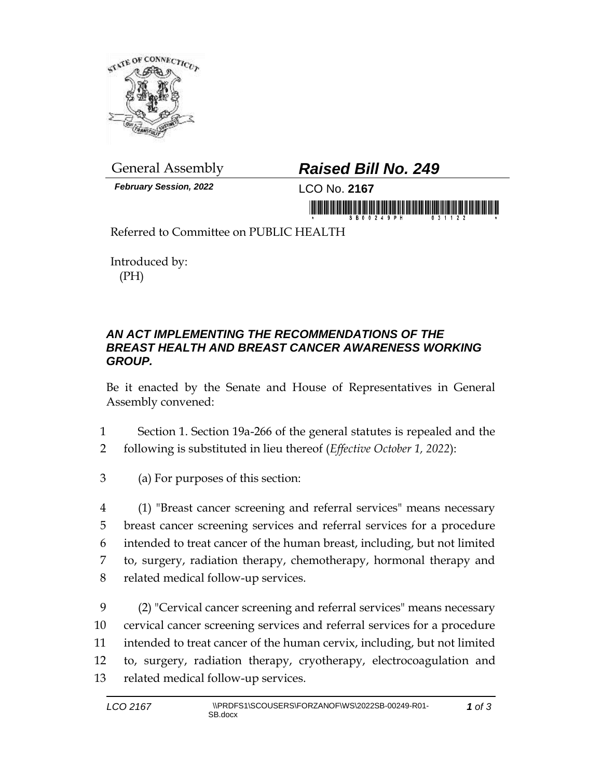

*February Session, 2022* LCO No. **2167**

## General Assembly *Raised Bill No. 249*

in monday is a state of the commodate in the second contract

Referred to Committee on PUBLIC HEALTH

Introduced by: (PH)

## *AN ACT IMPLEMENTING THE RECOMMENDATIONS OF THE BREAST HEALTH AND BREAST CANCER AWARENESS WORKING GROUP.*

Be it enacted by the Senate and House of Representatives in General Assembly convened:

- 1 Section 1. Section 19a-266 of the general statutes is repealed and the
- 2 following is substituted in lieu thereof (*Effective October 1, 2022*):
- 3 (a) For purposes of this section:
- 4 (1) "Breast cancer screening and referral services" means necessary 5 breast cancer screening services and referral services for a procedure 6 intended to treat cancer of the human breast, including, but not limited 7 to, surgery, radiation therapy, chemotherapy, hormonal therapy and 8 related medical follow-up services.

 (2) "Cervical cancer screening and referral services" means necessary cervical cancer screening services and referral services for a procedure intended to treat cancer of the human cervix, including, but not limited to, surgery, radiation therapy, cryotherapy, electrocoagulation and related medical follow-up services.

*1 of 3*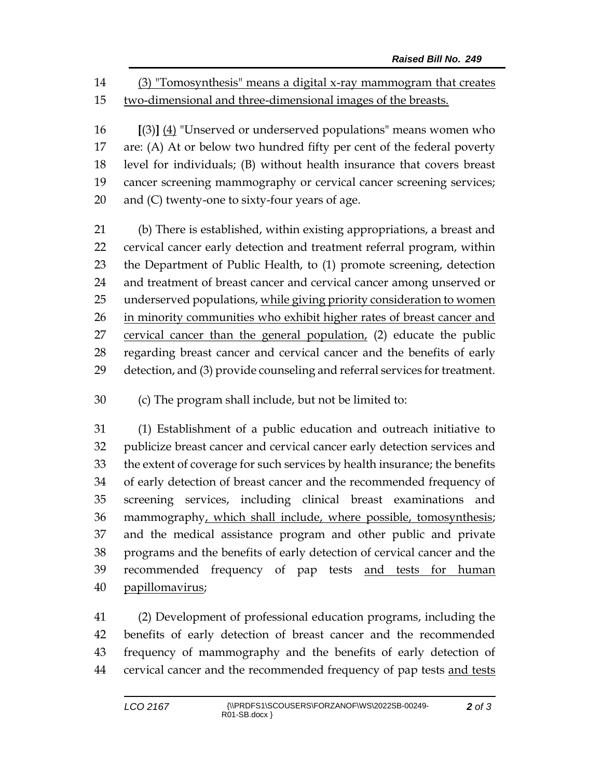(3) "Tomosynthesis" means a digital x-ray mammogram that creates two-dimensional and three-dimensional images of the breasts.

 **[**(3)**]** (4) "Unserved or underserved populations" means women who are: (A) At or below two hundred fifty per cent of the federal poverty level for individuals; (B) without health insurance that covers breast cancer screening mammography or cervical cancer screening services; and (C) twenty-one to sixty-four years of age.

 (b) There is established, within existing appropriations, a breast and cervical cancer early detection and treatment referral program, within the Department of Public Health, to (1) promote screening, detection and treatment of breast cancer and cervical cancer among unserved or underserved populations, while giving priority consideration to women 26 in minority communities who exhibit higher rates of breast cancer and 27 cervical cancer than the general population, (2) educate the public regarding breast cancer and cervical cancer and the benefits of early detection, and (3) provide counseling and referral services for treatment.

(c) The program shall include, but not be limited to:

 (1) Establishment of a public education and outreach initiative to publicize breast cancer and cervical cancer early detection services and the extent of coverage for such services by health insurance; the benefits of early detection of breast cancer and the recommended frequency of screening services, including clinical breast examinations and 36 mammography, which shall include, where possible, tomosynthesis; and the medical assistance program and other public and private programs and the benefits of early detection of cervical cancer and the 39 recommended frequency of pap tests and tests for human papillomavirus;

 (2) Development of professional education programs, including the benefits of early detection of breast cancer and the recommended frequency of mammography and the benefits of early detection of 44 cervical cancer and the recommended frequency of pap tests and tests